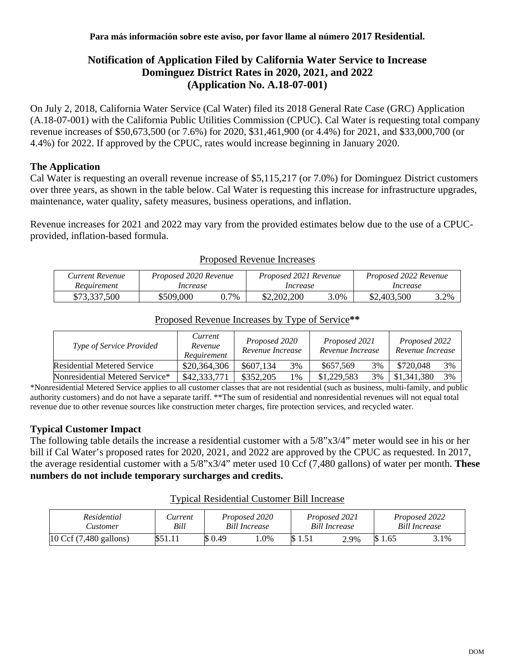# **Notification of Application Filed by California Water Service to Increase Dominguez District Rates in 2020, 2021, and 2022 (Application No. A.18-07-001)**

On July 2, 2018, California Water Service (Cal Water) filed its 2018 General Rate Case (GRC) Application (A.18-07-001) with the California Public Utilities Commission (CPUC). Cal Water is requesting total company revenue increases of \$50,673,500 (or 7.6%) for 2020, \$31,461,900 (or 4.4%) for 2021, and \$33,000,700 (or 4.4%) for 2022. If approved by the CPUC, rates would increase beginning in January 2020.

### **The Application**

Cal Water is requesting an overall revenue increase of \$5,115,217 (or 7.0%) for Dominguez District customers over three years, as shown in the table below. Cal Water is requesting this increase for infrastructure upgrades, maintenance, water quality, safety measures, business operations, and inflation.

Revenue increases for 2021 and 2022 may vary from the provided estimates below due to the use of a CPUCprovided, inflation-based formula.

| Current Revenue | Proposed 2020 Revenue |     | Proposed 2021 Revenue |      | Proposed 2022 Revenue |      |  |
|-----------------|-----------------------|-----|-----------------------|------|-----------------------|------|--|
| Requirement     | Increase              |     | Increase              |      | Increase              |      |  |
| \$73,337,500    | \$509,000             | .7% | \$2,202,200           | 3.0% | \$2,403,500           | 3.2% |  |

#### Proposed Revenue Increases

| Type of Service Provided        | Current<br>Revenue<br>Requirement | Proposed 2020<br>Revenue Increase |    | Proposed 2021<br>Revenue Increase |    | Proposed 2022<br>Revenue Increase |    |
|---------------------------------|-----------------------------------|-----------------------------------|----|-----------------------------------|----|-----------------------------------|----|
| Residential Metered Service     | \$20,364,306                      | \$607.134                         | 3% | \$657,569                         | 3% | \$720,048                         | 3% |
| Nonresidential Metered Service* | \$42,333,771                      | \$352,205                         | 1% | \$1,229,583                       | 3% | \$1,341,380                       | 3% |

# Proposed Revenue Increases by Type of Service**\*\***

\*Nonresidential Metered Service applies to all customer classes that are not residential (such as business, multi-family, and public authority customers) and do not have a separate tariff. \*\*The sum of residential and nonresidential revenues will not equal total revenue due to other revenue sources like construction meter charges, fire protection services, and recycled water.

# **Typical Customer Impact**

The following table details the increase a residential customer with a 5/8"x3/4" meter would see in his or her bill if Cal Water's proposed rates for 2020, 2021, and 2022 are approved by the CPUC as requested. In 2017, the average residential customer with a 5/8"x3/4" meter used 10 Ccf (7,480 gallons) of water per month. **These numbers do not include temporary surcharges and credits.**

| Residential<br>Customer | Lurrent<br>Bill | Proposed 2020<br><b>Bill Increase</b> |        | Proposed 2021<br><b>Bill Increase</b> |      | Proposed 2022<br><b>Bill Increase</b> |      |
|-------------------------|-----------------|---------------------------------------|--------|---------------------------------------|------|---------------------------------------|------|
| 10 Ccf (7,480 gallons)  | \$51.11         | \$ 0.49                               | $.0\%$ |                                       | 2.9% | 1.65                                  | 3.1% |

#### Typical Residential Customer Bill Increase